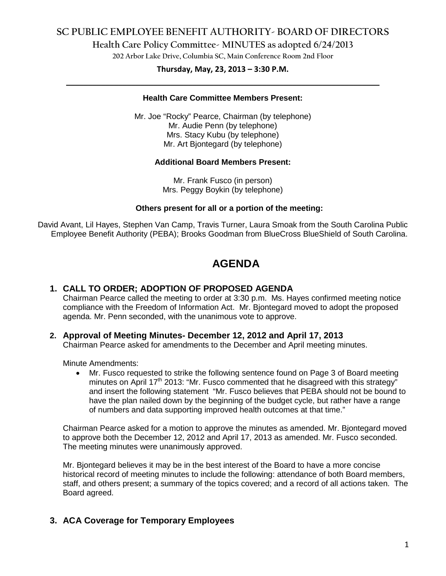# **SC PUBLIC EMPLOYEE BENEFIT AUTHORITY- BOARD OF DIRECTORS**

**Health Care Policy Committee- MINUTES as adopted 6/24/2013**

**202 Arbor Lake Drive, Columbia SC, Main Conference Room 2nd Floor**

# **Thursday, May, 23, 2013 – 3:30 P.M. \_\_\_\_\_\_\_\_\_\_\_\_\_\_\_\_\_\_\_\_\_\_\_\_\_\_\_\_\_\_\_\_\_\_\_\_\_\_\_\_\_\_\_\_\_\_\_\_\_\_\_\_\_\_\_\_\_\_\_\_\_\_\_\_\_\_\_\_\_\_\_\_**

### **Health Care Committee Members Present:**

Mr. Joe "Rocky" Pearce, Chairman (by telephone) Mr. Audie Penn (by telephone) Mrs. Stacy Kubu (by telephone) Mr. Art Bjontegard (by telephone)

#### **Additional Board Members Present:**

Mr. Frank Fusco (in person) Mrs. Peggy Boykin (by telephone)

#### **Others present for all or a portion of the meeting:**

David Avant, Lil Hayes, Stephen Van Camp, Travis Turner, Laura Smoak from the South Carolina Public Employee Benefit Authority (PEBA); Brooks Goodman from BlueCross BlueShield of South Carolina.

# **AGENDA**

### **1. CALL TO ORDER; ADOPTION OF PROPOSED AGENDA**

Chairman Pearce called the meeting to order at 3:30 p.m. Ms. Hayes confirmed meeting notice compliance with the Freedom of Information Act. Mr. Bjontegard moved to adopt the proposed agenda. Mr. Penn seconded, with the unanimous vote to approve.

### **2. Approval of Meeting Minutes- December 12, 2012 and April 17, 2013**

Chairman Pearce asked for amendments to the December and April meeting minutes.

Minute Amendments:

• Mr. Fusco requested to strike the following sentence found on Page 3 of Board meeting minutes on April 17<sup>th</sup> 2013: "Mr. Fusco commented that he disagreed with this strategy" and insert the following statement "Mr. Fusco believes that PEBA should not be bound to have the plan nailed down by the beginning of the budget cycle, but rather have a range of numbers and data supporting improved health outcomes at that time."

Chairman Pearce asked for a motion to approve the minutes as amended. Mr. Bjontegard moved to approve both the December 12, 2012 and April 17, 2013 as amended. Mr. Fusco seconded. The meeting minutes were unanimously approved.

Mr. Bjontegard believes it may be in the best interest of the Board to have a more concise historical record of meeting minutes to include the following: attendance of both Board members, staff, and others present; a summary of the topics covered; and a record of all actions taken. The Board agreed.

### **3. ACA Coverage for Temporary Employees**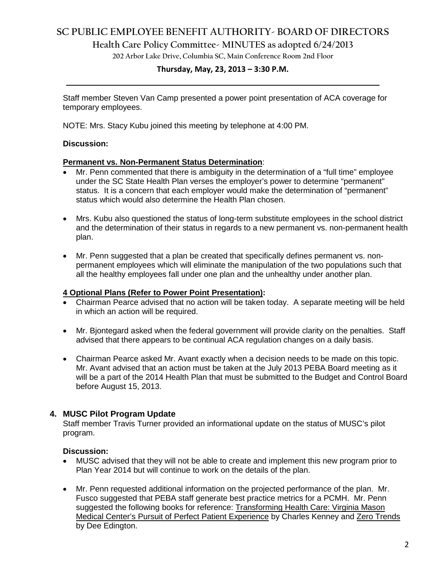# **SC PUBLIC EMPLOYEE BENEFIT AUTHORITY- BOARD OF DIRECTORS**

**Health Care Policy Committee- MINUTES as adopted 6/24/2013**

**202 Arbor Lake Drive, Columbia SC, Main Conference Room 2nd Floor**

# **Thursday, May, 23, 2013 – 3:30 P.M. \_\_\_\_\_\_\_\_\_\_\_\_\_\_\_\_\_\_\_\_\_\_\_\_\_\_\_\_\_\_\_\_\_\_\_\_\_\_\_\_\_\_\_\_\_\_\_\_\_\_\_\_\_\_\_\_\_\_\_\_\_\_\_\_\_\_\_\_\_\_\_\_**

Staff member Steven Van Camp presented a power point presentation of ACA coverage for temporary employees.

NOTE: Mrs. Stacy Kubu joined this meeting by telephone at 4:00 PM.

#### **Discussion:**

#### **Permanent vs. Non-Permanent Status Determination**:

- Mr. Penn commented that there is ambiguity in the determination of a "full time" employee under the SC State Health Plan verses the employer's power to determine "permanent" status. It is a concern that each employer would make the determination of "permanent" status which would also determine the Health Plan chosen.
- Mrs. Kubu also questioned the status of long-term substitute employees in the school district and the determination of their status in regards to a new permanent vs. non-permanent health plan.
- Mr. Penn suggested that a plan be created that specifically defines permanent vs. nonpermanent employees which will eliminate the manipulation of the two populations such that all the healthy employees fall under one plan and the unhealthy under another plan.

#### **4 Optional Plans (Refer to Power Point Presentation):**

- Chairman Pearce advised that no action will be taken today. A separate meeting will be held in which an action will be required.
- Mr. Bjontegard asked when the federal government will provide clarity on the penalties. Staff advised that there appears to be continual ACA regulation changes on a daily basis.
- Chairman Pearce asked Mr. Avant exactly when a decision needs to be made on this topic. Mr. Avant advised that an action must be taken at the July 2013 PEBA Board meeting as it will be a part of the 2014 Health Plan that must be submitted to the Budget and Control Board before August 15, 2013.

### **4. MUSC Pilot Program Update**

Staff member Travis Turner provided an informational update on the status of MUSC's pilot program.

#### **Discussion:**

- MUSC advised that they will not be able to create and implement this new program prior to Plan Year 2014 but will continue to work on the details of the plan.
- Mr. Penn requested additional information on the projected performance of the plan. Mr. Fusco suggested that PEBA staff generate best practice metrics for a PCMH. Mr. Penn suggested the following books for reference: Transforming Health Care: Virginia Mason Medical Center's Pursuit of Perfect Patient Experience by Charles Kenney and Zero Trends by Dee Edington.